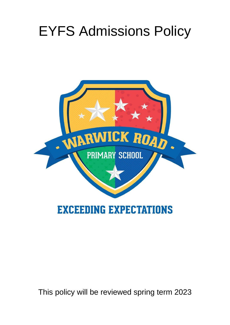## EYFS Admissions Policy



This policy will be reviewed spring term 2023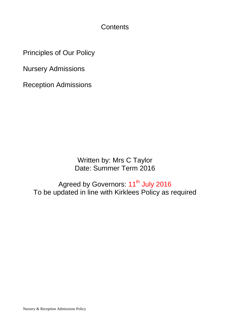**Contents** 

Principles of Our Policy

Nursery Admissions

Reception Admissions

Written by: Mrs C Taylor Date: Summer Term 2016

Agreed by Governors: 11<sup>th</sup> July 2016 To be updated in line with Kirklees Policy as required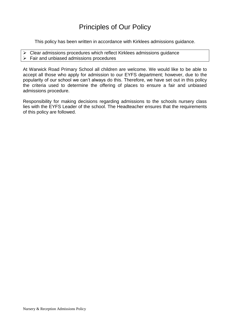## Principles of Our Policy

This policy has been written in accordance with Kirklees admissions guidance.

- $\triangleright$  Clear admissions procedures which reflect Kirklees admissions quidance
- $\triangleright$  Fair and unbiased admissions procedures

At Warwick Road Primary School all children are welcome. We would like to be able to accept all those who apply for admission to our EYFS department; however, due to the popularity of our school we can't always do this. Therefore, we have set out in this policy the criteria used to determine the offering of places to ensure a fair and unbiased admissions procedure.

Responsibility for making decisions regarding admissions to the schools nursery class lies with the EYFS Leader of the school. The Headteacher ensures that the requirements of this policy are followed.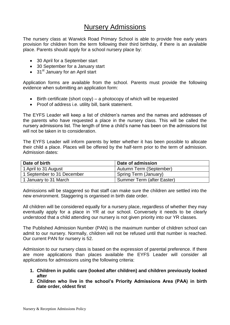## Nursery Admissions

The nursery class at Warwick Road Primary School is able to provide free early years provision for children from the term following their third birthday, if there is an available place. Parents should apply for a school nursery place by:

- 30 April for a September start
- 30 September for a January start
- $\bullet$  31<sup>st</sup> January for an April start

Application forms are available from the school. Parents must provide the following evidence when submitting an application form:

- $\bullet$  Birth certificate (short copy) a photocopy of which will be requested
- Proof of address i.e. utility bill, bank statement.

The EYFS Leader will keep a list of children's names and the names and addresses of the parents who have requested a place in the nursery class. This will be called the nursery admissions list. The length of time a child's name has been on the admissions list will not be taken in to consideration.

The EYFS Leader will inform parents by letter whether it has been possible to allocate their child a place. Places will be offered by the half-term prior to the term of admission. Admission dates:

| Date of birth              | Date of admission                  |
|----------------------------|------------------------------------|
| 1 April to 31 August       | Autumn Term (September)            |
| 1 September to 31 December | <sup>I</sup> Spring Term (January) |
| 1 January to 31 March      | Summer Term (after Easter)         |

Admissions will be staggered so that staff can make sure the children are settled into the new environment. Staggering is organised in birth date order.

All children will be considered equally for a nursery place, regardless of whether they may eventually apply for a place in YR at our school. Conversely it needs to be clearly understood that a child attending our nursery is not given priority into our YR classes.

The Published Admission Number (PAN) is the maximum number of children school can admit to our nursery. Normally, children will not be refused until that number is reached. Our current PAN for nursery is 52.

Admission to our nursery class is based on the expression of parental preference. If there are more applications than places available the EYFS Leader will consider all applications for admissions using the following criteria:

- **1. Children in public care (looked after children) and children previously looked after**
- **2. Children who live in the school's Priority Admissions Area (PAA) in birth date order, oldest first**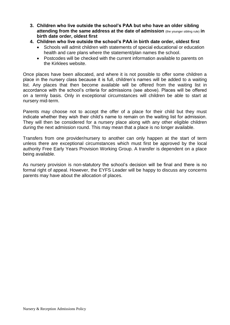- **3. Children who live outside the school's PAA but who have an older sibling attending from the same address at the date of admission** (the younger sibling rule) **in birth date order, oldest first**
- **4. Children who live outside the school's PAA in birth date order, oldest first**
	- Schools will admit children with statements of special educational or education health and care plans where the statement/plan names the school.
	- Postcodes will be checked with the current information available to parents on the Kirklees website.

Once places have been allocated, and where it is not possible to offer some children a place in the nursery class because it is full, children's names will be added to a waiting list. Any places that then become available will be offered from the waiting list in accordance with the school's criteria for admissions (see above). Places will be offered on a termly basis. Only in exceptional circumstances will children be able to start at nursery mid-term.

Parents may choose not to accept the offer of a place for their child but they must indicate whether they wish their child's name to remain on the waiting list for admission. They will then be considered for a nursery place along with any other eligible children during the next admission round. This may mean that a place is no longer available.

Transfers from one provider/nursery to another can only happen at the start of term unless there are exceptional circumstances which must first be approved by the local authority Free Early Years Provision Working Group. A transfer is dependent on a place being available.

As nursery provision is non-statutory the school's decision will be final and there is no formal right of appeal. However, the EYFS Leader will be happy to discuss any concerns parents may have about the allocation of places.